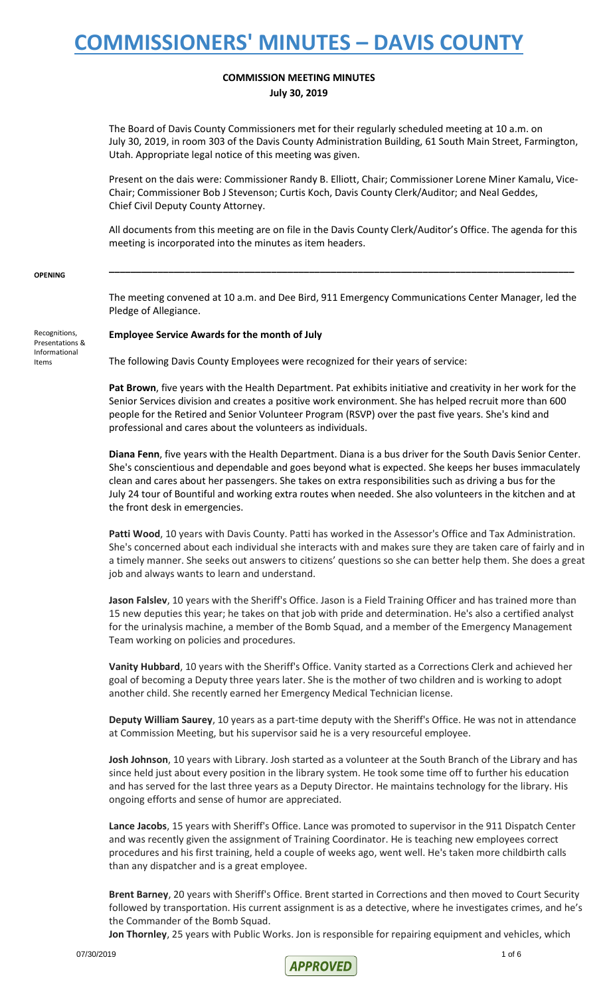## **COMMISSION MEETING MINUTES July 30, 2019**

The Board of Davis County Commissioners met for their regularly scheduled meeting at 10 a.m. on July 30, 2019, in room 303 of the Davis County Administration Building, 61 South Main Street, Farmington, Utah. Appropriate legal notice of this meeting was given.

Present on the dais were: Commissioner Randy B. Elliott, Chair; Commissioner Lorene Miner Kamalu, Vice-Chair; Commissioner Bob J Stevenson; Curtis Koch, Davis County Clerk/Auditor; and Neal Geddes, Chief Civil Deputy County Attorney.

All documents from this meeting are on file in the Davis County Clerk/Auditor's Office. The agenda for this meeting is incorporated into the minutes as item headers.

**\_\_\_\_\_\_\_\_\_\_\_\_\_\_\_\_\_\_\_\_\_\_\_\_\_\_\_\_\_\_\_\_\_\_\_\_\_\_\_\_\_\_\_\_\_\_\_\_\_\_\_\_\_\_\_\_\_\_\_\_\_\_\_\_\_\_\_\_\_\_\_\_\_\_\_\_\_\_\_\_\_\_\_\_\_\_**

### **OPENING**

Recognitions, Presentations & Informational Items

The meeting convened at 10 a.m. and Dee Bird, 911 Emergency Communications Center Manager, led the Pledge of Allegiance.

### **Employee Service Awards for the month of July**

The following Davis County Employees were recognized for their years of service:

**Pat Brown**, five years with the Health Department. Pat exhibits initiative and creativity in her work for the Senior Services division and creates a positive work environment. She has helped recruit more than 600 people for the Retired and Senior Volunteer Program (RSVP) over the past five years. She's kind and professional and cares about the volunteers as individuals.

**Diana Fenn**, five years with the Health Department. Diana is a bus driver for the South Davis Senior Center. She's conscientious and dependable and goes beyond what is expected. She keeps her buses immaculately clean and cares about her passengers. She takes on extra responsibilities such as driving a bus for the July 24 tour of Bountiful and working extra routes when needed. She also volunteers in the kitchen and at the front desk in emergencies.

Patti Wood, 10 years with Davis County. Patti has worked in the Assessor's Office and Tax Administration. She's concerned about each individual she interacts with and makes sure they are taken care of fairly and in a timely manner. She seeks out answers to citizens' questions so she can better help them. She does a great job and always wants to learn and understand.

**Jason Falslev**, 10 years with the Sheriff's Office. Jason is a Field Training Officer and has trained more than 15 new deputies this year; he takes on that job with pride and determination. He's also a certified analyst for the urinalysis machine, a member of the Bomb Squad, and a member of the Emergency Management Team working on policies and procedures.

**Vanity Hubbard**, 10 years with the Sheriff's Office. Vanity started as a Corrections Clerk and achieved her goal of becoming a Deputy three years later. She is the mother of two children and is working to adopt another child. She recently earned her Emergency Medical Technician license.

**Deputy William Saurey**, 10 years as a part-time deputy with the Sheriff's Office. He was not in attendance at Commission Meeting, but his supervisor said he is a very resourceful employee.

**Josh Johnson**, 10 years with Library. Josh started as a volunteer at the South Branch of the Library and has since held just about every position in the library system. He took some time off to further his education and has served for the last three years as a Deputy Director. He maintains technology for the library. His ongoing efforts and sense of humor are appreciated.

**Lance Jacobs**, 15 years with Sheriff's Office. Lance was promoted to supervisor in the 911 Dispatch Center and was recently given the assignment of Training Coordinator. He is teaching new employees correct procedures and his first training, held a couple of weeks ago, went well. He's taken more childbirth calls than any dispatcher and is a great employee.

**Brent Barney**, 20 years with Sheriff's Office. Brent started in Corrections and then moved to Court Security followed by transportation. His current assignment is as a detective, where he investigates crimes, and he's the Commander of the Bomb Squad.

**Jon Thornley**, 25 years with Public Works. Jon is responsible for repairing equipment and vehicles, which

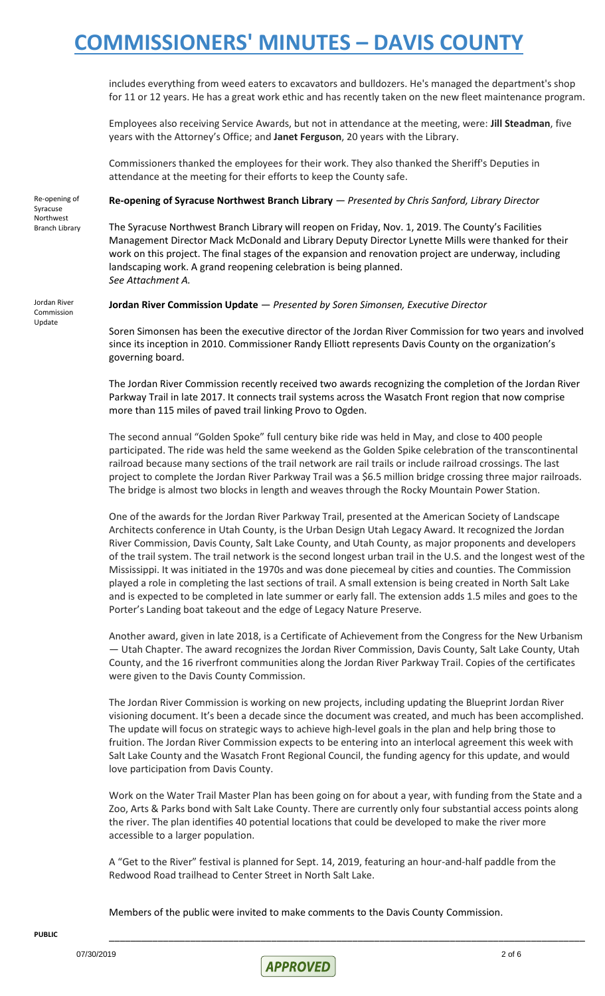includes everything from weed eaters to excavators and bulldozers. He's managed the department's shop for 11 or 12 years. He has a great work ethic and has recently taken on the new fleet maintenance program.

Employees also receiving Service Awards, but not in attendance at the meeting, were: **Jill Steadman**, five years with the Attorney's Office; and **Janet Ferguson**, 20 years with the Library.

Commissioners thanked the employees for their work. They also thanked the Sheriff's Deputies in attendance at the meeting for their efforts to keep the County safe.

Re-opening of Syracuse Northwest Branch Library

## **Re-opening of Syracuse Northwest Branch Library** — *Presented by Chris Sanford, Library Director*

The Syracuse Northwest Branch Library will reopen on Friday, Nov. 1, 2019. The County's Facilities Management Director Mack McDonald and Library Deputy Director Lynette Mills were thanked for their work on this project. The final stages of the expansion and renovation project are underway, including landscaping work. A grand reopening celebration is being planned. *See Attachment A.* 

Jordan River Commission Update

### **Jordan River Commission Update** — *Presented by Soren Simonsen, Executive Director*

Soren Simonsen has been the executive director of the Jordan River Commission for two years and involved since its inception in 2010. Commissioner Randy Elliott represents Davis County on the organization's governing board.

The Jordan River Commission recently received two awards recognizing the completion of the Jordan River Parkway Trail in late 2017. It connects trail systems across the Wasatch Front region that now comprise more than 115 miles of paved trail linking Provo to Ogden.

The second annual "Golden Spoke" full century bike ride was held in May, and close to 400 people participated. The ride was held the same weekend as the Golden Spike celebration of the transcontinental railroad because many sections of the trail network are rail trails or include railroad crossings. The last project to complete the Jordan River Parkway Trail was a \$6.5 million bridge crossing three major railroads. The bridge is almost two blocks in length and weaves through the Rocky Mountain Power Station.

One of the awards for the Jordan River Parkway Trail, presented at the American Society of Landscape Architects conference in Utah County, is the Urban Design Utah Legacy Award. It recognized the Jordan River Commission, Davis County, Salt Lake County, and Utah County, as major proponents and developers of the trail system. The trail network is the second longest urban trail in the U.S. and the longest west of the Mississippi. It was initiated in the 1970s and was done piecemeal by cities and counties. The Commission played a role in completing the last sections of trail. A small extension is being created in North Salt Lake and is expected to be completed in late summer or early fall. The extension adds 1.5 miles and goes to the Porter's Landing boat takeout and the edge of Legacy Nature Preserve.

Another award, given in late 2018, is a Certificate of Achievement from the Congress for the New Urbanism — Utah Chapter. The award recognizes the Jordan River Commission, Davis County, Salt Lake County, Utah County, and the 16 riverfront communities along the Jordan River Parkway Trail. Copies of the certificates were given to the Davis County Commission.

The Jordan River Commission is working on new projects, including updating the Blueprint Jordan River visioning document. It's been a decade since the document was created, and much has been accomplished. The update will focus on strategic ways to achieve high-level goals in the plan and help bring those to fruition. The Jordan River Commission expects to be entering into an interlocal agreement this week with Salt Lake County and the Wasatch Front Regional Council, the funding agency for this update, and would love participation from Davis County.

Work on the Water Trail Master Plan has been going on for about a year, with funding from the State and a Zoo, Arts & Parks bond with Salt Lake County. There are currently only four substantial access points along the river. The plan identifies 40 potential locations that could be developed to make the river more accessible to a larger population.

A "Get to the River" festival is planned for Sept. 14, 2019, featuring an hour-and-half paddle from the Redwood Road trailhead to Center Street in North Salt Lake.

Members of the public were invited to make comments to the Davis County Commission.

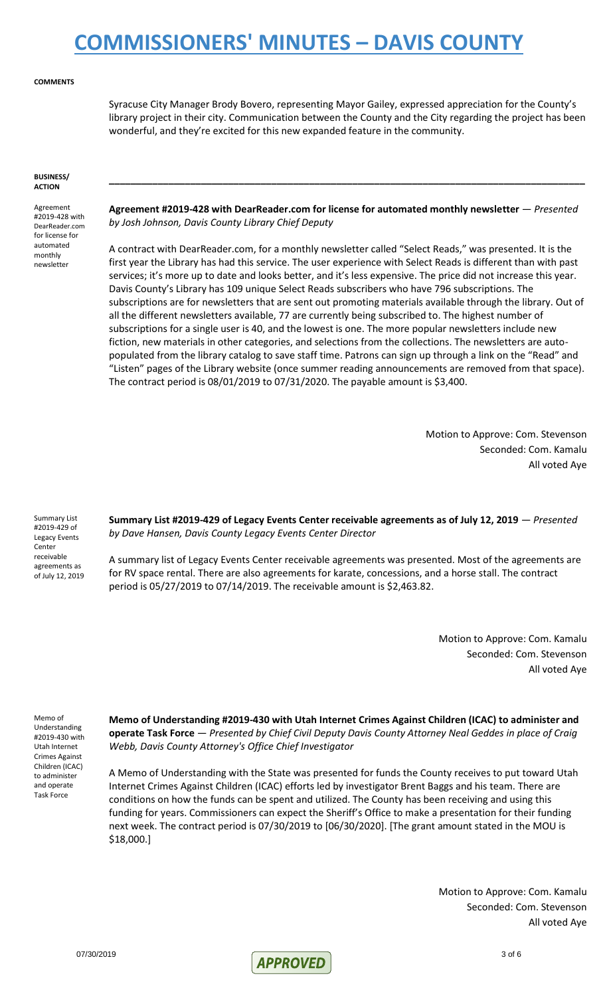### **COMMENTS**

Syracuse City Manager Brody Bovero, representing Mayor Gailey, expressed appreciation for the County's library project in their city. Communication between the County and the City regarding the project has been wonderful, and they're excited for this new expanded feature in the community.

#### **BUSINESS/ ACTION**

Agreement #2019-428 with DearReader.com for license for automated monthly newsletter

**Agreement #2019-428 with DearReader.com for license for automated monthly newsletter** — *Presented by Josh Johnson, Davis County Library Chief Deputy*

**\_\_\_\_\_\_\_\_\_\_\_\_\_\_\_\_\_\_\_\_\_\_\_\_\_\_\_\_\_\_\_\_\_\_\_\_\_\_\_\_\_\_\_\_\_\_\_\_\_\_\_\_\_\_\_\_\_\_\_\_\_\_\_\_\_\_\_\_\_\_\_\_\_\_\_\_\_\_\_\_\_\_\_\_\_\_\_\_**

A contract with DearReader.com, for a monthly newsletter called "Select Reads," was presented. It is the first year the Library has had this service. The user experience with Select Reads is different than with past services; it's more up to date and looks better, and it's less expensive. The price did not increase this year. Davis County's Library has 109 unique Select Reads subscribers who have 796 subscriptions. The subscriptions are for newsletters that are sent out promoting materials available through the library. Out of all the different newsletters available, 77 are currently being subscribed to. The highest number of subscriptions for a single user is 40, and the lowest is one. The more popular newsletters include new fiction, new materials in other categories, and selections from the collections. The newsletters are autopopulated from the library catalog to save staff time. Patrons can sign up through a link on the "Read" and "Listen" pages of the Library website (once summer reading announcements are removed from that space). The contract period is 08/01/2019 to 07/31/2020. The payable amount is \$3,400.

> Motion to Approve: Com. Stevenson Seconded: Com. Kamalu All voted Aye

Summary List #2019-429 of Legacy Events Center receivable agreements as of July 12, 2019

**Summary List #2019-429 of Legacy Events Center receivable agreements as of July 12, 2019** — *Presented by Dave Hansen, Davis County Legacy Events Center Director*

A summary list of Legacy Events Center receivable agreements was presented. Most of the agreements are for RV space rental. There are also agreements for karate, concessions, and a horse stall. The contract period is 05/27/2019 to 07/14/2019. The receivable amount is \$2,463.82.

> Motion to Approve: Com. Kamalu Seconded: Com. Stevenson All voted Aye

Memo of Understanding #2019-430 with Utah Internet Crimes Against Children (ICAC) to administer and operate Task Force

**Memo of Understanding #2019-430 with Utah Internet Crimes Against Children (ICAC) to administer and operate Task Force** — *Presented by Chief Civil Deputy Davis County Attorney Neal Geddes in place of Craig Webb, Davis County Attorney's Office Chief Investigator*

A Memo of Understanding with the State was presented for funds the County receives to put toward Utah Internet Crimes Against Children (ICAC) efforts led by investigator Brent Baggs and his team. There are conditions on how the funds can be spent and utilized. The County has been receiving and using this funding for years. Commissioners can expect the Sheriff's Office to make a presentation for their funding next week. The contract period is 07/30/2019 to [06/30/2020]. [The grant amount stated in the MOU is \$18,000.]

> Motion to Approve: Com. Kamalu Seconded: Com. Stevenson All voted Aye

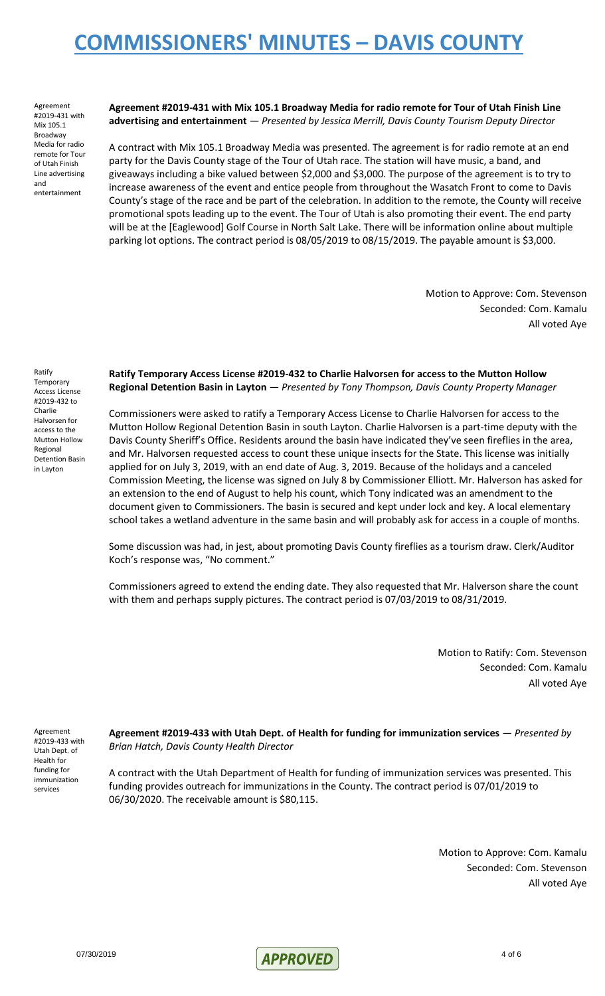Agreement #2019-431 with Mix 105.1 Broadway Media for radio remote for Tour of Utah Finish Line advertising and entertainment

**Agreement #2019-431 with Mix 105.1 Broadway Media for radio remote for Tour of Utah Finish Line advertising and entertainment** — *Presented by Jessica Merrill, Davis County Tourism Deputy Director*

A contract with Mix 105.1 Broadway Media was presented. The agreement is for radio remote at an end party for the Davis County stage of the Tour of Utah race. The station will have music, a band, and giveaways including a bike valued between \$2,000 and \$3,000. The purpose of the agreement is to try to increase awareness of the event and entice people from throughout the Wasatch Front to come to Davis County's stage of the race and be part of the celebration. In addition to the remote, the County will receive promotional spots leading up to the event. The Tour of Utah is also promoting their event. The end party will be at the [Eaglewood] Golf Course in North Salt Lake. There will be information online about multiple parking lot options. The contract period is 08/05/2019 to 08/15/2019. The payable amount is \$3,000.

> Motion to Approve: Com. Stevenson Seconded: Com. Kamalu All voted Aye

Ratify Temporary Access License #2019-432 to Charlie Halvorsen for access to the Mutton Hollow Regional Detention Basin in Layton

**Ratify Temporary Access License #2019-432 to Charlie Halvorsen for access to the Mutton Hollow Regional Detention Basin in Layton** — *Presented by Tony Thompson, Davis County Property Manager*

Commissioners were asked to ratify a Temporary Access License to Charlie Halvorsen for access to the Mutton Hollow Regional Detention Basin in south Layton. Charlie Halvorsen is a part-time deputy with the Davis County Sheriff's Office. Residents around the basin have indicated they've seen fireflies in the area, and Mr. Halvorsen requested access to count these unique insects for the State. This license was initially applied for on July 3, 2019, with an end date of Aug. 3, 2019. Because of the holidays and a canceled Commission Meeting, the license was signed on July 8 by Commissioner Elliott. Mr. Halverson has asked for an extension to the end of August to help his count, which Tony indicated was an amendment to the document given to Commissioners. The basin is secured and kept under lock and key. A local elementary school takes a wetland adventure in the same basin and will probably ask for access in a couple of months.

Some discussion was had, in jest, about promoting Davis County fireflies as a tourism draw. Clerk/Auditor Koch's response was, "No comment."

Commissioners agreed to extend the ending date. They also requested that Mr. Halverson share the count with them and perhaps supply pictures. The contract period is 07/03/2019 to 08/31/2019.

> Motion to Ratify: Com. Stevenson Seconded: Com. Kamalu All voted Aye

Agreement #2019-433 with Utah Dept. of Health for funding for immunization services

**Agreement #2019-433 with Utah Dept. of Health for funding for immunization services** — *Presented by Brian Hatch, Davis County Health Director*

A contract with the Utah Department of Health for funding of immunization services was presented. This funding provides outreach for immunizations in the County. The contract period is 07/01/2019 to 06/30/2020. The receivable amount is \$80,115.

> Motion to Approve: Com. Kamalu Seconded: Com. Stevenson All voted Aye

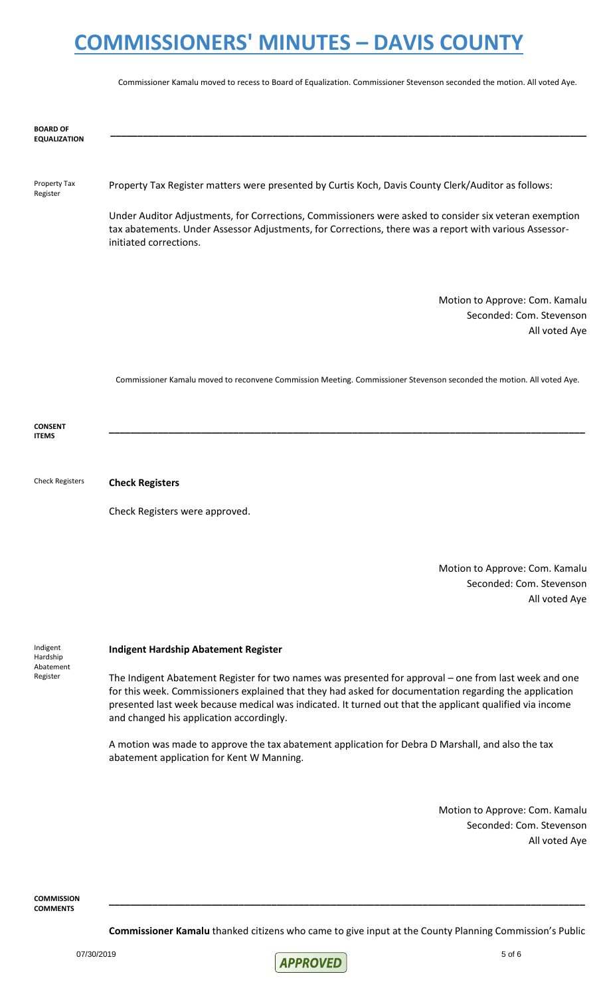Commissioner Kamalu moved to recess to Board of Equalization. Commissioner Stevenson seconded the motion. All voted Aye.

| <b>BOARD OF</b><br><b>EQUALIZATION</b> |                                                                                                                                                                                                                                            |
|----------------------------------------|--------------------------------------------------------------------------------------------------------------------------------------------------------------------------------------------------------------------------------------------|
| Property Tax<br>Register               | Property Tax Register matters were presented by Curtis Koch, Davis County Clerk/Auditor as follows:                                                                                                                                        |
|                                        | Under Auditor Adjustments, for Corrections, Commissioners were asked to consider six veteran exemption<br>tax abatements. Under Assessor Adjustments, for Corrections, there was a report with various Assessor-<br>initiated corrections. |
|                                        | Motion to Approve: Com. Kamalu                                                                                                                                                                                                             |
|                                        | Seconded: Com. Stevenson                                                                                                                                                                                                                   |
|                                        | All voted Aye                                                                                                                                                                                                                              |
| <b>CONSENT</b><br><b>ITEMS</b>         | Commissioner Kamalu moved to reconvene Commission Meeting. Commissioner Stevenson seconded the motion. All voted Aye.                                                                                                                      |
| <b>Check Registers</b>                 | <b>Check Registers</b>                                                                                                                                                                                                                     |
|                                        | Check Registers were approved.                                                                                                                                                                                                             |
|                                        | Motion to Approve: Com. Kamalu<br>Seconded: Com. Stevenson<br>All voted Aye                                                                                                                                                                |
| Indigent<br>Hardship<br>Abatement      | <b>Indigent Hardship Abatement Register</b>                                                                                                                                                                                                |
| Register                               | The Indigent Abatement Register for two names was presented for approval – one from last week and one                                                                                                                                      |

The Indigent Abatement Register for two names was presented for approval – one from last week and one for this week. Commissioners explained that they had asked for documentation regarding the application presented last week because medical was indicated. It turned out that the applicant qualified via income and changed his application accordingly.

A motion was made to approve the tax abatement application for Debra D Marshall, and also the tax abatement application for Kent W Manning.

> Motion to Approve: Com. Kamalu Seconded: Com. Stevenson All voted Aye

**COMMISSION COMMENTS**

**Commissioner Kamalu** thanked citizens who came to give input at the County Planning Commission's Public

**\_\_\_\_\_\_\_\_\_\_\_\_\_\_\_\_\_\_\_\_\_\_\_\_\_\_\_\_\_\_\_\_\_\_\_\_\_\_\_\_\_\_\_\_\_\_\_\_\_\_\_\_\_\_\_\_\_\_\_\_\_\_\_\_\_\_\_\_\_\_\_\_\_\_\_\_\_\_\_\_\_\_\_\_\_\_\_\_**